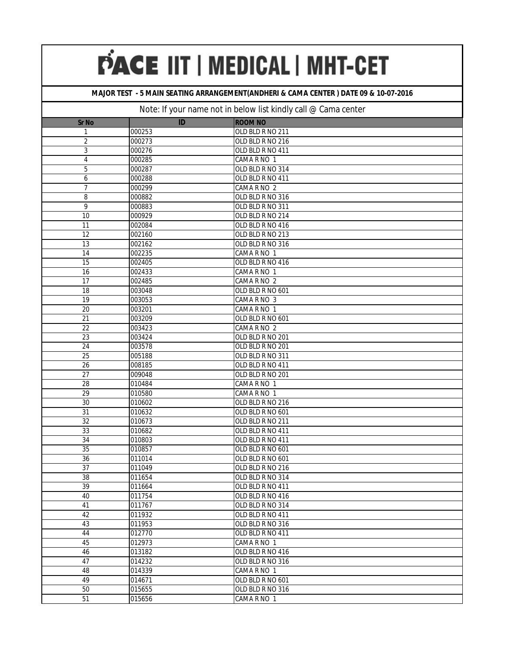#### **MAJOR TEST - 5 MAIN SEATING ARRANGEMENT(ANDHERI & CAMA CENTER ) DATE 09 & 10-07-2016**

| <b>Sr No</b>    | ID     | <b>ROOM NO</b>   |
|-----------------|--------|------------------|
| 1               | 000253 | OLD BLD R NO 211 |
| $\overline{2}$  | 000273 | OLD BLD R NO 216 |
| 3               | 000276 | OLD BLD R NO 411 |
| 4               | 000285 | CAMA R NO 1      |
| 5               | 000287 | OLD BLD R NO 314 |
| 6               | 000288 | OLD BLD R NO 411 |
| 7               | 000299 | CAMA R NO 2      |
| 8               | 000882 | OLD BLD R NO 316 |
| 9               | 000883 | OLD BLD R NO 311 |
| $\overline{10}$ | 000929 | OLD BLD R NO 214 |
| 11              | 002084 | OLD BLD R NO 416 |
| 12              | 002160 | OLD BLD R NO 213 |
| 13              | 002162 | OLD BLD R NO 316 |
| 14              | 002235 | CAMA R NO 1      |
| 15              | 002405 | OLD BLD R NO 416 |
| 16              | 002433 | CAMA R NO 1      |
| 17              | 002485 | CAMA R NO 2      |
| 18              | 003048 | OLD BLD R NO 601 |
| 19              | 003053 | CAMA R NO 3      |
| 20              | 003201 | CAMA R NO 1      |
| 21              | 003209 | OLD BLD R NO 601 |
| 22              | 003423 | CAMA R NO 2      |
| 23              | 003424 | OLD BLD R NO 201 |
| 24              | 003578 | OLD BLD R NO 201 |
| $\overline{25}$ | 005188 | OLD BLD R NO 311 |
| 26              | 008185 | OLD BLD R NO 411 |
| 27              | 009048 | OLD BLD R NO 201 |
| 28              | 010484 | CAMA R NO 1      |
| 29              | 010580 | CAMA R NO 1      |
| 30              | 010602 | OLD BLD R NO 216 |
| 31              | 010632 | OLD BLD R NO 601 |
| $\overline{32}$ | 010673 | OLD BLD R NO 211 |
| 33              | 010682 | OLD BLD R NO 411 |
| 34              | 010803 | OLD BLD R NO 411 |
| $\overline{35}$ | 010857 | OLD BLD R NO 601 |
| 36              | 011014 | OLD BLD R NO 601 |
| 37              | 011049 | OLD BLD R NO 216 |
| 38              | 011654 | OLD BLD R NO 314 |
| 39              | 011664 | OLD BLD R NO 411 |
| 40              | 011754 | OLD BLD R NO 416 |
| 41              | 011767 | OLD BLD R NO 314 |
| 42              | 011932 | OLD BLD R NO 411 |
| 43              | 011953 | OLD BLD R NO 316 |
| 44              | 012770 | OLD BLD R NO 411 |
| 45              | 012973 | CAMA R NO 1      |
| 46              | 013182 | OLD BLD R NO 416 |
| 47              | 014232 | OLD BLD R NO 316 |
| 48              | 014339 | CAMA R NO 1      |
| 49              | 014671 | OLD BLD R NO 601 |
| 50              | 015655 | OLD BLD R NO 316 |
| 51              | 015656 | CAMA R NO 1      |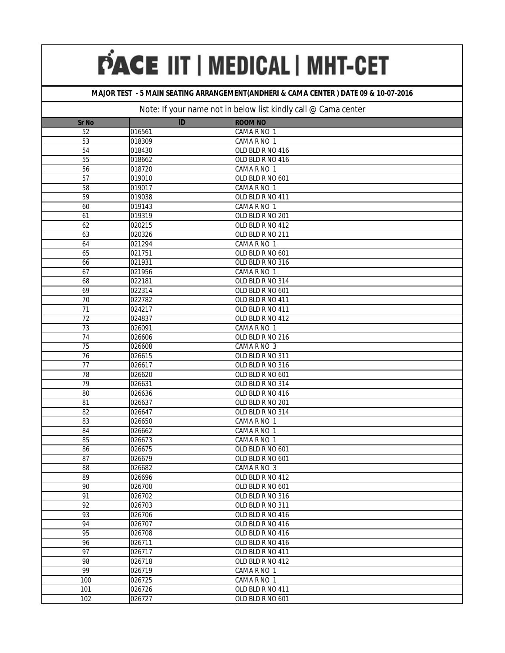#### **MAJOR TEST - 5 MAIN SEATING ARRANGEMENT(ANDHERI & CAMA CENTER ) DATE 09 & 10-07-2016**

| <b>Sr No</b>    | ID     | <b>ROOM NO</b>   |
|-----------------|--------|------------------|
| 52              | 016561 | CAMA R NO 1      |
| 53              | 018309 | CAMA R NO 1      |
| 54              | 018430 | OLD BLD R NO 416 |
| 55              | 018662 | OLD BLD R NO 416 |
| $\overline{56}$ | 018720 | CAMA R NO 1      |
| 57              | 019010 | OLD BLD R NO 601 |
| 58              | 019017 | CAMA R NO 1      |
| $\overline{59}$ | 019038 | OLD BLD R NO 411 |
| 60              | 019143 | CAMA R NO 1      |
| 61              | 019319 | OLD BLD R NO 201 |
| 62              | 020215 | OLD BLD R NO 412 |
| 63              | 020326 | OLD BLD R NO 211 |
| 64              | 021294 | CAMA R NO 1      |
| 65              | 021751 | OLD BLD R NO 601 |
| 66              | 021931 | OLD BLD R NO 316 |
| 67              | 021956 | CAMA R NO 1      |
| 68              | 022181 | OLD BLD R NO 314 |
| 69              | 022314 | OLD BLD R NO 601 |
| 70              | 022782 | OLD BLD R NO 411 |
| 71              | 024217 | OLD BLD R NO 411 |
| 72              | 024837 | OLD BLD R NO 412 |
| 73              | 026091 | CAMA R NO 1      |
| 74              | 026606 | OLD BLD R NO 216 |
| 75              | 026608 | CAMA R NO 3      |
| $\overline{76}$ | 026615 | OLD BLD R NO 311 |
| $\overline{77}$ | 026617 | OLD BLD R NO 316 |
| 78              | 026620 | OLD BLD R NO 601 |
| 79              | 026631 | OLD BLD R NO 314 |
| 80              | 026636 | OLD BLD R NO 416 |
| 81              | 026637 | OLD BLD R NO 201 |
| 82              | 026647 | OLD BLD R NO 314 |
| 83              | 026650 | CAMA R NO 1      |
| 84              | 026662 | CAMA R NO 1      |
| 85              | 026673 | CAMA R NO 1      |
| 86              | 026675 | OLD BLD R NO 601 |
| 87              | 026679 | OLD BLD R NO 601 |
| 88              | 026682 | CAMA R NO 3      |
| 89              | 026696 | OLD BLD R NO 412 |
| 90              | 026700 | OLD BLD R NO 601 |
| 91              | 026702 | OLD BLD R NO 316 |
| 92              | 026703 | OLD BLD R NO 311 |
| 93              | 026706 | OLD BLD R NO 416 |
| 94              | 026707 | OLD BLD R NO 416 |
| 95              | 026708 | OLD BLD R NO 416 |
| 96              | 026711 | OLD BLD R NO 416 |
| 97              | 026717 | OLD BLD R NO 411 |
| 98              | 026718 | OLD BLD R NO 412 |
| 99              | 026719 | CAMA R NO 1      |
| 100             | 026725 | CAMA R NO 1      |
| 101             | 026726 | OLD BLD R NO 411 |
| 102             | 026727 | OLD BLD R NO 601 |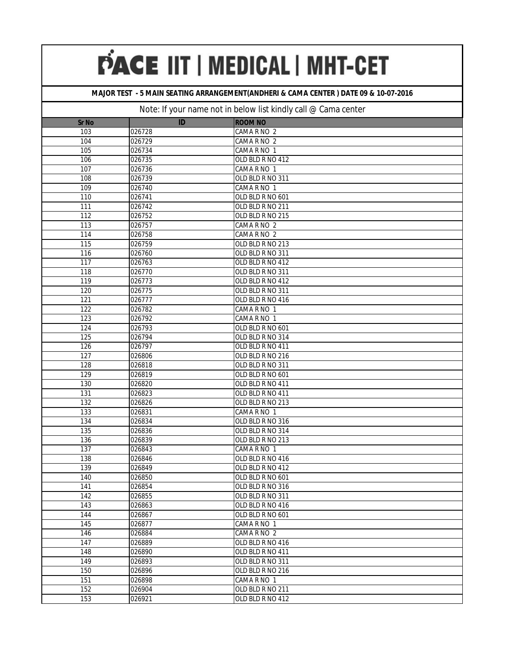#### **MAJOR TEST - 5 MAIN SEATING ARRANGEMENT(ANDHERI & CAMA CENTER ) DATE 09 & 10-07-2016**

| <b>Sr No</b>     | ID     | <b>ROOM NO</b>   |
|------------------|--------|------------------|
| 103              | 026728 | CAMA R NO 2      |
| 104              | 026729 | CAMA R NO 2      |
| 105              | 026734 | CAMA R NO 1      |
| 106              | 026735 | OLD BLD R NO 412 |
| 107              | 026736 | CAMA R NO 1      |
| 108              | 026739 | OLD BLD R NO 311 |
| 109              | 026740 | CAMA R NO 1      |
| 110              | 026741 | OLD BLD R NO 601 |
| 111              | 026742 | OLD BLD R NO 211 |
| 112              | 026752 | OLD BLD R NO 215 |
| 113              | 026757 | CAMA R NO 2      |
| 114              | 026758 | CAMA R NO 2      |
| 115              | 026759 | OLD BLD R NO 213 |
| 116              | 026760 | OLD BLD R NO 311 |
| 117              | 026763 | OLD BLD R NO 412 |
| 118              | 026770 | OLD BLD R NO 311 |
| 119              | 026773 | OLD BLD R NO 412 |
| 120              | 026775 | OLD BLD R NO 311 |
| 121              | 026777 | OLD BLD R NO 416 |
| 122              | 026782 | CAMA R NO 1      |
| 123              | 026792 | CAMA R NO 1      |
| 124              | 026793 | OLD BLD R NO 601 |
| 125              | 026794 | OLD BLD R NO 314 |
| 126              | 026797 | OLD BLD R NO 411 |
| $\overline{127}$ | 026806 | OLD BLD R NO 216 |
| 128              | 026818 | OLD BLD R NO 311 |
| 129              | 026819 | OLD BLD R NO 601 |
| 130              | 026820 | OLD BLD R NO 411 |
| 131              | 026823 | OLD BLD R NO 411 |
| 132              | 026826 | OLD BLD R NO 213 |
| 133              | 026831 | CAMA R NO 1      |
| 134              | 026834 | OLD BLD R NO 316 |
| 135              | 026836 | OLD BLD R NO 314 |
| 136              | 026839 | OLD BLD R NO 213 |
| 137              | 026843 | CAMA R NO 1      |
| 138              | 026846 | OLD BLD R NO 416 |
| 139              | 026849 | OLD BLD R NO 412 |
| 140              | 026850 | OLD BLD R NO 601 |
| 141              | 026854 | OLD BLD R NO 316 |
| 142              | 026855 | OLD BLD R NO 311 |
| 143              | 026863 | OLD BLD R NO 416 |
| 144              | 026867 | OLD BLD R NO 601 |
| 145              | 026877 | CAMA R NO 1      |
| 146              | 026884 | CAMA R NO 2      |
| 147              | 026889 | OLD BLD R NO 416 |
| 148              | 026890 | OLD BLD R NO 411 |
| 149              | 026893 | OLD BLD R NO 311 |
| 150              | 026896 | OLD BLD R NO 216 |
| 151              | 026898 | CAMA R NO 1      |
| 152              | 026904 | OLD BLD R NO 211 |
| 153              | 026921 | OLD BLD R NO 412 |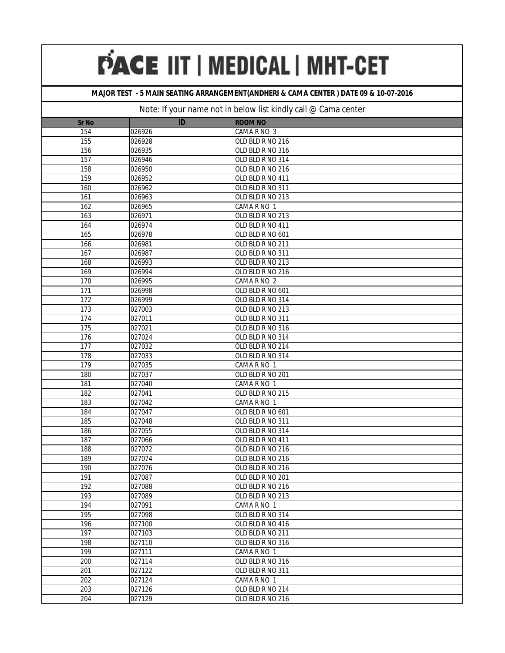#### **MAJOR TEST - 5 MAIN SEATING ARRANGEMENT(ANDHERI & CAMA CENTER ) DATE 09 & 10-07-2016**

| <b>Sr No</b>     | ID     | <b>ROOM NO</b>   |
|------------------|--------|------------------|
| 154              | 026926 | CAMA R NO 3      |
| 155              | 026928 | OLD BLD R NO 216 |
| 156              | 026935 | OLD BLD R NO 316 |
| 157              | 026946 | OLD BLD R NO 314 |
| 158              | 026950 | OLD BLD R NO 216 |
| 159              | 026952 | OLD BLD R NO 411 |
| 160              | 026962 | OLD BLD R NO 311 |
| 161              | 026963 | OLD BLD R NO 213 |
| 162              | 026965 | CAMA R NO 1      |
| 163              | 026971 | OLD BLD R NO 213 |
| 164              | 026974 | OLD BLD R NO 411 |
| 165              | 026978 | OLD BLD R NO 601 |
| 166              | 026981 | OLD BLD R NO 211 |
| 167              | 026987 | OLD BLD R NO 311 |
| 168              | 026993 | OLD BLD R NO 213 |
| 169              | 026994 | OLD BLD R NO 216 |
| 170              | 026995 | CAMA R NO 2      |
| 171              | 026998 | OLD BLD R NO 601 |
| 172              | 026999 | OLD BLD R NO 314 |
| 173              | 027003 | OLD BLD R NO 213 |
| 174              | 027011 | OLD BLD R NO 311 |
| 175              | 027021 | OLD BLD R NO 316 |
| 176              | 027024 | OLD BLD R NO 314 |
| 177              | 027032 | OLD BLD R NO 214 |
| $\overline{178}$ | 027033 | OLD BLD R NO 314 |
| 179              | 027035 | CAMA R NO 1      |
| 180              | 027037 | OLD BLD R NO 201 |
| 181              | 027040 | CAMA R NO 1      |
| 182              | 027041 | OLD BLD R NO 215 |
| 183              | 027042 | CAMA R NO 1      |
| 184              | 027047 | OLD BLD R NO 601 |
| 185              | 027048 | OLD BLD R NO 311 |
| 186              | 027055 | OLD BLD R NO 314 |
| 187              | 027066 | OLD BLD R NO 411 |
| 188              | 027072 | OLD BLD R NO 216 |
| 189              | 027074 | OLD BLD R NO 216 |
| 190              | 027076 | OLD BLD R NO 216 |
| 191              | 027087 | OLD BLD R NO 201 |
| 192              | 027088 | OLD BLD R NO 216 |
| 193              | 027089 | OLD BLD R NO 213 |
| 194              | 027091 | CAMA R NO 1      |
| 195              | 027098 | OLD BLD R NO 314 |
| 196              | 027100 | OLD BLD R NO 416 |
| 197              | 027103 | OLD BLD R NO 211 |
| 198              | 027110 | OLD BLD R NO 316 |
| 199              | 027111 | CAMA R NO 1      |
| 200              | 027114 | OLD BLD R NO 316 |
| 201              | 027122 | OLD BLD R NO 311 |
| $\overline{202}$ | 027124 | CAMA R NO 1      |
| $\overline{203}$ | 027126 | OLD BLD R NO 214 |
| 204              | 027129 | OLD BLD R NO 216 |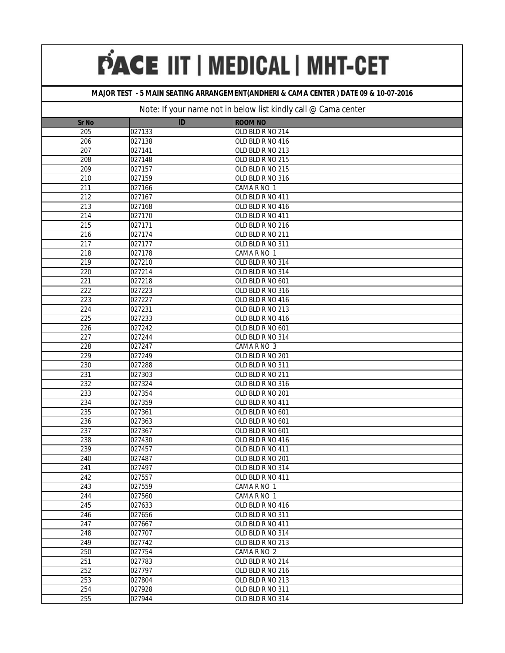#### **MAJOR TEST - 5 MAIN SEATING ARRANGEMENT(ANDHERI & CAMA CENTER ) DATE 09 & 10-07-2016**

| <b>Sr No</b>     | ID     | <b>ROOM NO</b>   |
|------------------|--------|------------------|
| 205              | 027133 | OLD BLD R NO 214 |
| 206              | 027138 | OLD BLD R NO 416 |
| 207              | 027141 | OLD BLD R NO 213 |
| 208              | 027148 | OLD BLD R NO 215 |
| 209              | 027157 | OLD BLD R NO 215 |
| 210              | 027159 | OLD BLD R NO 316 |
| 211              | 027166 | CAMA R NO 1      |
| 212              | 027167 | OLD BLD R NO 411 |
| 213              | 027168 | OLD BLD R NO 416 |
| 214              | 027170 | OLD BLD R NO 411 |
| 215              | 027171 | OLD BLD R NO 216 |
| 216              | 027174 | OLD BLD R NO 211 |
| 217              | 027177 | OLD BLD R NO 311 |
| 218              | 027178 | CAMA R NO 1      |
| $\overline{219}$ | 027210 | OLD BLD R NO 314 |
| 220              | 027214 | OLD BLD R NO 314 |
| 221              | 027218 | OLD BLD R NO 601 |
| 222              | 027223 | OLD BLD R NO 316 |
| 223              | 027227 | OLD BLD R NO 416 |
| 224              | 027231 | OLD BLD R NO 213 |
| 225              | 027233 | OLD BLD R NO 416 |
| 226              | 027242 | OLD BLD R NO 601 |
| 227              | 027244 | OLD BLD R NO 314 |
| 228              | 027247 | CAMA R NO 3      |
| 229              | 027249 | OLD BLD R NO 201 |
| 230              | 027288 | OLD BLD R NO 311 |
| 231              | 027303 | OLD BLD R NO 211 |
| 232              | 027324 | OLD BLD R NO 316 |
| 233              | 027354 | OLD BLD R NO 201 |
| 234              | 027359 | OLD BLD R NO 411 |
| 235              | 027361 | OLD BLD R NO 601 |
| 236              | 027363 | OLD BLD R NO 601 |
| 237              | 027367 | OLD BLD R NO 601 |
| 238              | 027430 | OLD BLD R NO 416 |
| 239              | 027457 | OLD BLD R NO 411 |
| 240              | 027487 | OLD BLD R NO 201 |
| 241              | 027497 | OLD BLD R NO 314 |
| 242              | 027557 | OLD BLD R NO 411 |
| 243              | 027559 | CAMA R NO 1      |
| 244              | 027560 | CAMA R NO 1      |
| 245              | 027633 | OLD BLD R NO 416 |
| 246              | 027656 | OLD BLD R NO 311 |
| 247              | 027667 | OLD BLD R NO 411 |
| 248              | 027707 | OLD BLD R NO 314 |
| 249              | 027742 | OLD BLD R NO 213 |
| 250              | 027754 | CAMA R NO 2      |
| 251              | 027783 | OLD BLD R NO 214 |
| 252              | 027797 | OLD BLD R NO 216 |
| 253              | 027804 | OLD BLD R NO 213 |
| 254              | 027928 | OLD BLD R NO 311 |
| 255              | 027944 | OLD BLD R NO 314 |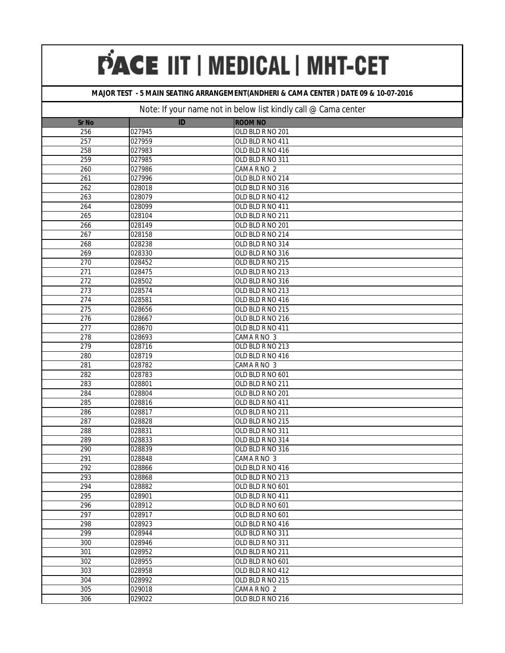#### **MAJOR TEST - 5 MAIN SEATING ARRANGEMENT(ANDHERI & CAMA CENTER ) DATE 09 & 10-07-2016**

| <b>Sr No</b>     | ID     | <b>ROOM NO</b>   |
|------------------|--------|------------------|
| 256              | 027945 | OLD BLD R NO 201 |
| 257              | 027959 | OLD BLD R NO 411 |
| 258              | 027983 | OLD BLD R NO 416 |
| 259              | 027985 | OLD BLD R NO 311 |
| 260              | 027986 | CAMA R NO 2      |
| 261              | 027996 | OLD BLD R NO 214 |
| 262              | 028018 | OLD BLD R NO 316 |
| 263              | 028079 | OLD BLD R NO 412 |
| 264              | 028099 | OLD BLD R NO 411 |
| 265              | 028104 | OLD BLD R NO 211 |
| 266              | 028149 | OLD BLD R NO 201 |
| 267              | 028158 | OLD BLD R NO 214 |
| 268              | 028238 | OLD BLD R NO 314 |
| 269              | 028330 | OLD BLD R NO 316 |
| 270              | 028452 | OLD BLD R NO 215 |
| 271              | 028475 | OLD BLD R NO 213 |
| 272              | 028502 | OLD BLD R NO 316 |
| 273              | 028574 | OLD BLD R NO 213 |
| 274              | 028581 | OLD BLD R NO 416 |
| 275              | 028656 | OLD BLD R NO 215 |
| 276              | 028667 | OLD BLD R NO 216 |
| 277              | 028670 | OLD BLD R NO 411 |
| 278              | 028693 | CAMA R NO 3      |
| 279              | 028716 | OLD BLD R NO 213 |
| 280              | 028719 | OLD BLD R NO 416 |
| 281              | 028782 | CAMA R NO 3      |
| 282              | 028783 | OLD BLD R NO 601 |
| 283              | 028801 | OLD BLD R NO 211 |
| 284              | 028804 | OLD BLD R NO 201 |
| 285              | 028816 | OLD BLD R NO 411 |
| 286              | 028817 | OLD BLD R NO 211 |
| 287              | 028828 | OLD BLD R NO 215 |
| 288              | 028831 | OLD BLD R NO 311 |
| 289              | 028833 | OLD BLD R NO 314 |
| 290              | 028839 | OLD BLD R NO 316 |
| 291              | 028848 | CAMA R NO 3      |
| 292              | 028866 | OLD BLD R NO 416 |
| 293              | 028868 | OLD BLD R NO 213 |
| 294              | 028882 | OLD BLD R NO 601 |
| 295              | 028901 | OLD BLD R NO 411 |
| 296              | 028912 | OLD BLD R NO 601 |
| 297              | 028917 | OLD BLD R NO 601 |
| 298              | 028923 | OLD BLD R NO 416 |
| 299              | 028944 | OLD BLD R NO 311 |
| 300              | 028946 | OLD BLD R NO 311 |
| 301              | 028952 | OLD BLD R NO 211 |
| 302              | 028955 | OLD BLD R NO 601 |
| 303              | 028958 | OLD BLD R NO 412 |
| 304              | 028992 | OLD BLD R NO 215 |
| $\overline{305}$ | 029018 | CAMA R NO 2      |
| 306              | 029022 | OLD BLD R NO 216 |
|                  |        |                  |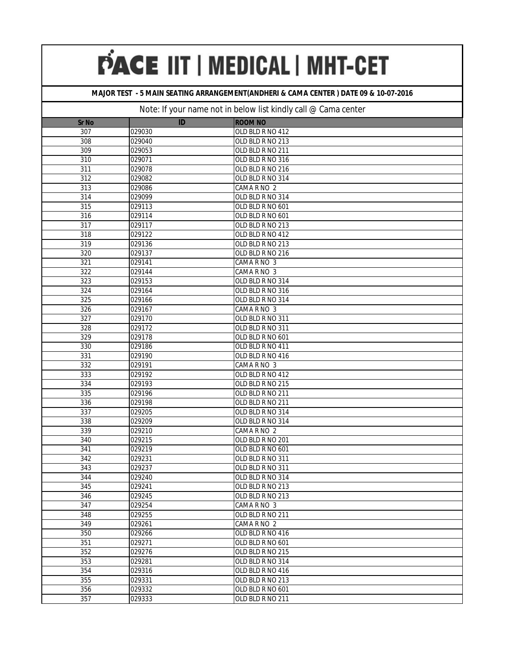#### **MAJOR TEST - 5 MAIN SEATING ARRANGEMENT(ANDHERI & CAMA CENTER ) DATE 09 & 10-07-2016**

| <b>Sr No</b> | ID               | <b>ROOM NO</b>                  |
|--------------|------------------|---------------------------------|
| 307          | 029030           | OLD BLD R NO 412                |
| 308          | 029040           | OLD BLD R NO 213                |
| 309          | 029053           | OLD BLD R NO 211                |
| 310          | 029071           | OLD BLD R NO 316                |
| 311          | 029078           | OLD BLD R NO 216                |
| 312          | 029082           | OLD BLD R NO 314                |
| 313          | 029086           | CAMA R NO 2                     |
| 314          | 029099           | OLD BLD R NO 314                |
| 315          | 029113           | OLD BLD R NO 601                |
| 316          | 029114           | OLD BLD R NO 601                |
| 317          | 029117           | OLD BLD R NO 213                |
| 318          | 029122           | OLD BLD R NO 412                |
| 319          | 029136           | OLD BLD R NO 213                |
| 320          | 029137           | OLD BLD R NO 216                |
| 321          | 029141           | CAMA R NO 3                     |
| 322          | 029144           | CAMA R NO 3                     |
| 323          | 029153           | OLD BLD R NO 314                |
| 324          | 029164           | OLD BLD R NO 316                |
| 325          | 029166           | OLD BLD R NO 314                |
| 326          | 029167           | CAMA R NO 3                     |
| 327          | 029170           | OLD BLD R NO 311                |
| 328          | 029172           | OLD BLD R NO 311                |
| 329          | 029178           | OLD BLD R NO 601                |
| 330          | 029186           | OLD BLD R NO 411                |
| 331          | 029190           | OLD BLD R NO 416                |
| 332          | 029191           | CAMA R NO 3                     |
| 333          | 029192           | OLD BLD R NO 412                |
| 334          | 029193           | OLD BLD R NO 215                |
| 335          | 029196           | OLD BLD R NO 211                |
| 336          | 029198           | OLD BLD R NO 211                |
| 337<br>338   | 029205           | OLD BLD R NO 314                |
| 339          | 029209<br>029210 | OLD BLD R NO 314<br>CAMA R NO 2 |
| 340          | 029215           | OLD BLD R NO 201                |
| 341          | 029219           | OLD BLD R NO 601                |
| 342          | 029231           | OLD BLD R NO 311                |
| 343          | 029237           | OLD BLD R NO 311                |
| 344          | 029240           | OLD BLD R NO 314                |
| 345          | 029241           | OLD BLD R NO 213                |
| 346          | 029245           | OLD BLD R NO 213                |
| 347          | 029254           | CAMA R NO 3                     |
| 348          | 029255           | OLD BLD R NO 211                |
| 349          | 029261           | CAMA R NO 2                     |
| 350          | 029266           | OLD BLD R NO 416                |
| 351          | 029271           | OLD BLD R NO 601                |
| 352          | 029276           | OLD BLD R NO 215                |
| 353          | 029281           | OLD BLD R NO 314                |
| 354          | 029316           | OLD BLD R NO 416                |
| 355          | 029331           | OLD BLD R NO 213                |
| 356          | 029332           | OLD BLD R NO 601                |
| 357          | 029333           | OLD BLD R NO 211                |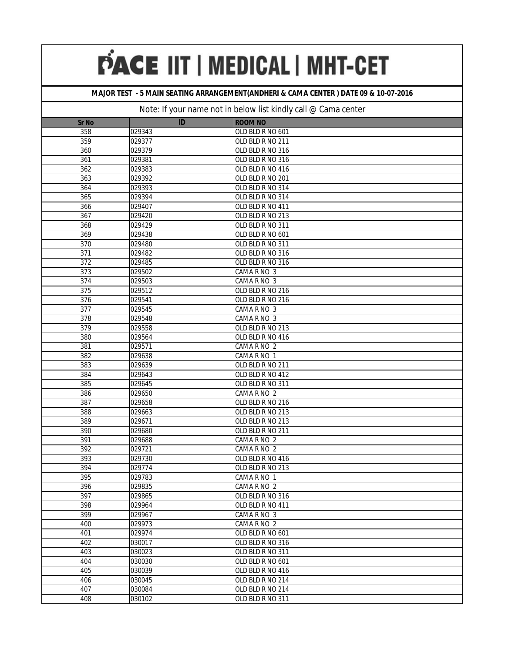#### **MAJOR TEST - 5 MAIN SEATING ARRANGEMENT(ANDHERI & CAMA CENTER ) DATE 09 & 10-07-2016**

| <b>Sr No</b>     | ID     | <b>ROOM NO</b>   |
|------------------|--------|------------------|
| 358              | 029343 | OLD BLD R NO 601 |
| 359              | 029377 | OLD BLD R NO 211 |
| 360              | 029379 | OLD BLD R NO 316 |
| 361              | 029381 | OLD BLD R NO 316 |
| 362              | 029383 | OLD BLD R NO 416 |
| 363              | 029392 | OLD BLD R NO 201 |
| 364              | 029393 | OLD BLD R NO 314 |
| 365              | 029394 | OLD BLD R NO 314 |
| 366              | 029407 | OLD BLD R NO 411 |
| 367              | 029420 | OLD BLD R NO 213 |
| 368              | 029429 | OLD BLD R NO 311 |
| 369              | 029438 | OLD BLD R NO 601 |
| 370              | 029480 | OLD BLD R NO 311 |
| 371              | 029482 | OLD BLD R NO 316 |
| $\overline{372}$ | 029485 | OLD BLD R NO 316 |
| 373              | 029502 | CAMA R NO 3      |
| 374              | 029503 | CAMA R NO 3      |
| 375              | 029512 | OLD BLD R NO 216 |
| 376              | 029541 | OLD BLD R NO 216 |
| 377              | 029545 | CAMA R NO 3      |
| 378              | 029548 | CAMA R NO 3      |
| 379              | 029558 | OLD BLD R NO 213 |
| 380              | 029564 | OLD BLD R NO 416 |
| 381              | 029571 | CAMA R NO 2      |
| 382              | 029638 | CAMA R NO 1      |
| 383              | 029639 | OLD BLD R NO 211 |
| 384              | 029643 | OLD BLD R NO 412 |
| 385              | 029645 | OLD BLD R NO 311 |
| 386              | 029650 | CAMA R NO 2      |
| 387              | 029658 | OLD BLD R NO 216 |
| 388              | 029663 | OLD BLD R NO 213 |
| 389              | 029671 | OLD BLD R NO 213 |
| 390              | 029680 | OLD BLD R NO 211 |
| 391              | 029688 | CAMA R NO 2      |
| 392              | 029721 | CAMA R NO 2      |
| 393              | 029730 | OLD BLD R NO 416 |
| 394              | 029774 | OLD BLD R NO 213 |
| 395              | 029783 | CAMA R NO 1      |
| 396              | 029835 | CAMA R NO 2      |
| 397              | 029865 | OLD BLD R NO 316 |
| 398              | 029964 | OLD BLD R NO 411 |
| 399              | 029967 | CAMA R NO 3      |
| 400              | 029973 | CAMA R NO 2      |
| 401              | 029974 | OLD BLD R NO 601 |
| 402              | 030017 | OLD BLD R NO 316 |
| 403              | 030023 | OLD BLD R NO 311 |
| 404              | 030030 | OLD BLD R NO 601 |
| 405              | 030039 | OLD BLD R NO 416 |
| 406              | 030045 | OLD BLD R NO 214 |
| 407              | 030084 | OLD BLD R NO 214 |
| 408              | 030102 | OLD BLD R NO 311 |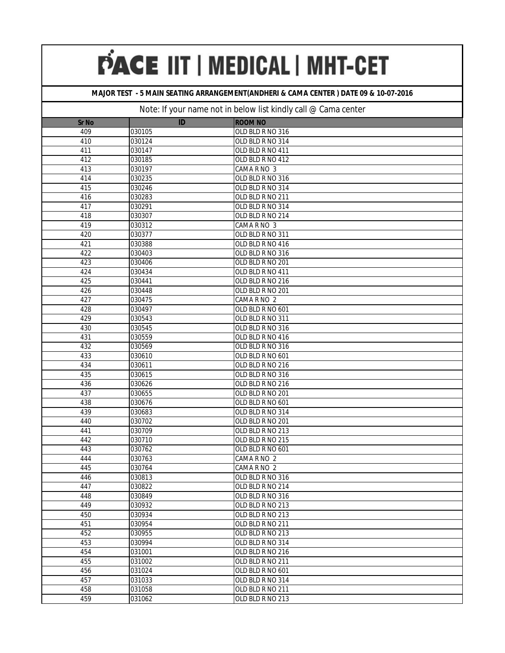#### **MAJOR TEST - 5 MAIN SEATING ARRANGEMENT(ANDHERI & CAMA CENTER ) DATE 09 & 10-07-2016**

| <b>Sr No</b> | ID               | <b>ROOM NO</b>                       |
|--------------|------------------|--------------------------------------|
| 409          | 030105           | OLD BLD R NO 316                     |
| 410          | 030124           | OLD BLD R NO 314                     |
| 411          | 030147           | OLD BLD R NO 411                     |
| 412          | 030185           | OLD BLD R NO 412                     |
| 413          | 030197           | CAMA R NO 3                          |
| 414          | 030235           | OLD BLD R NO 316                     |
| 415          | 030246           | OLD BLD R NO 314                     |
| 416          | 030283           | OLD BLD R NO 211                     |
| 417          | 030291           | OLD BLD R NO 314                     |
| 418          | 030307           | OLD BLD R NO 214                     |
| 419          | 030312           | CAMA R NO 3                          |
| 420          | 030377           | OLD BLD R NO 311                     |
| 421          | 030388           | OLD BLD R NO 416                     |
| 422          | 030403           | OLD BLD R NO 316                     |
| 423          | 030406           | OLD BLD R NO 201                     |
| 424          | 030434           | OLD BLD R NO 411                     |
| 425          | 030441           | OLD BLD R NO 216                     |
| 426          | 030448           | OLD BLD R NO 201                     |
| 427          | 030475           | CAMA R NO 2                          |
| 428          | 030497           | OLD BLD R NO 601                     |
| 429          | 030543           | OLD BLD R NO 311                     |
| 430          | 030545           | OLD BLD R NO 316                     |
| 431          | 030559           | OLD BLD R NO 416                     |
| 432          | 030569           | OLD BLD R NO 316                     |
| 433          | 030610           | OLD BLD R NO 601                     |
| 434          | 030611           | OLD BLD R NO 216                     |
| 435          | 030615           | OLD BLD R NO 316                     |
| 436          | 030626           | OLD BLD R NO 216                     |
| 437          | 030655           | OLD BLD R NO 201                     |
| 438          | 030676           | OLD BLD R NO 601                     |
| 439          | 030683           | OLD BLD R NO 314                     |
| 440          | 030702           | OLD BLD R NO 201                     |
| 441          | 030709           | OLD BLD R NO 213                     |
| 442          | 030710           | OLD BLD R NO 215                     |
| 443          | 030762           | OLD BLD R NO 601                     |
| 444          | 030763           | CAMA R NO 2                          |
| 445          | 030764           | CAMA R NO 2                          |
| 446          | 030813           | OLD BLD R NO 316                     |
| 447          | 030822           | OLD BLD R NO 214                     |
| 448          | 030849           | OLD BLD R NO 316                     |
| 449          | 030932           | OLD BLD R NO 213                     |
| 450          | 030934           | OLD BLD R NO 213                     |
| 451<br>452   | 030954           | OLD BLD R NO 211                     |
| 453          | 030955<br>030994 | OLD BLD R NO 213                     |
|              |                  | OLD BLD R NO 314                     |
| 454<br>455   | 031001<br>031002 | OLD BLD R NO 216<br>OLD BLD R NO 211 |
| 456          | 031024           | OLD BLD R NO 601                     |
| 457          | 031033           | OLD BLD R NO 314                     |
| 458          | 031058           | OLD BLD R NO 211                     |
| 459          | 031062           | OLD BLD R NO 213                     |
|              |                  |                                      |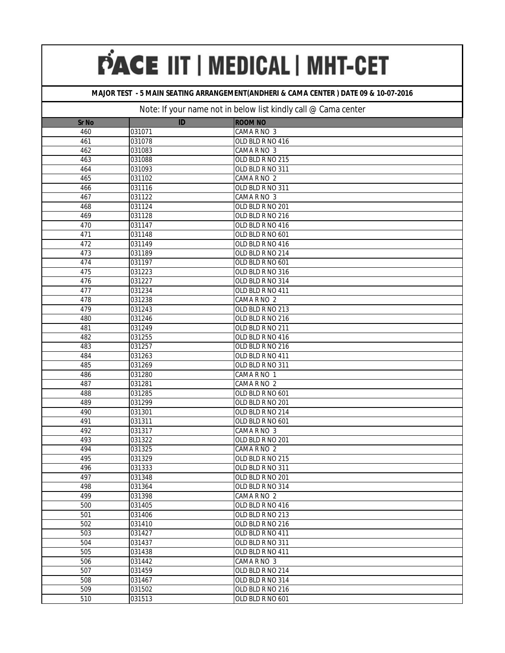#### **MAJOR TEST - 5 MAIN SEATING ARRANGEMENT(ANDHERI & CAMA CENTER ) DATE 09 & 10-07-2016**

| <b>Sr No</b> | ID     | <b>ROOM NO</b>   |
|--------------|--------|------------------|
| 460          | 031071 | CAMA R NO 3      |
| 461          | 031078 | OLD BLD R NO 416 |
| 462          | 031083 | CAMA R NO 3      |
| 463          | 031088 | OLD BLD R NO 215 |
| 464          | 031093 | OLD BLD R NO 311 |
| 465          | 031102 | CAMA R NO 2      |
| 466          | 031116 | OLD BLD R NO 311 |
| 467          | 031122 | CAMA R NO 3      |
| 468          | 031124 | OLD BLD R NO 201 |
| 469          | 031128 | OLD BLD R NO 216 |
| 470          | 031147 | OLD BLD R NO 416 |
| 471          | 031148 | OLD BLD R NO 601 |
| 472          | 031149 | OLD BLD R NO 416 |
| 473          | 031189 | OLD BLD R NO 214 |
| 474          | 031197 | OLD BLD R NO 601 |
| 475          | 031223 | OLD BLD R NO 316 |
| 476          | 031227 | OLD BLD R NO 314 |
| 477          | 031234 | OLD BLD R NO 411 |
| 478          | 031238 | CAMA R NO 2      |
| 479          | 031243 | OLD BLD R NO 213 |
| 480          | 031246 | OLD BLD R NO 216 |
| 481          | 031249 | OLD BLD R NO 211 |
| 482          | 031255 | OLD BLD R NO 416 |
| 483          | 031257 | OLD BLD R NO 216 |
| 484          | 031263 | OLD BLD R NO 411 |
| 485          | 031269 | OLD BLD R NO 311 |
| 486          | 031280 | CAMA R NO 1      |
| 487          | 031281 | CAMA R NO 2      |
| 488          | 031285 | OLD BLD R NO 601 |
| 489          | 031299 | OLD BLD R NO 201 |
| 490          | 031301 | OLD BLD R NO 214 |
| 491          | 031311 | OLD BLD R NO 601 |
| 492          | 031317 | CAMA R NO 3      |
| 493          | 031322 | OLD BLD R NO 201 |
| 494          | 031325 | CAMA R NO 2      |
| 495          | 031329 | OLD BLD R NO 215 |
| 496          | 031333 | OLD BLD R NO 311 |
| 497          | 031348 | OLD BLD R NO 201 |
| 498          | 031364 | OLD BLD R NO 314 |
| 499          | 031398 | CAMA R NO 2      |
| 500          | 031405 | OLD BLD R NO 416 |
| 501          | 031406 | OLD BLD R NO 213 |
| 502          | 031410 | OLD BLD R NO 216 |
| 503          | 031427 | OLD BLD R NO 411 |
| 504          | 031437 | OLD BLD R NO 311 |
| 505          | 031438 | OLD BLD R NO 411 |
| 506          | 031442 | CAMA R NO 3      |
| 507          | 031459 | OLD BLD R NO 214 |
| 508          | 031467 | OLD BLD R NO 314 |
| 509          | 031502 | OLD BLD R NO 216 |
| 510          | 031513 | OLD BLD R NO 601 |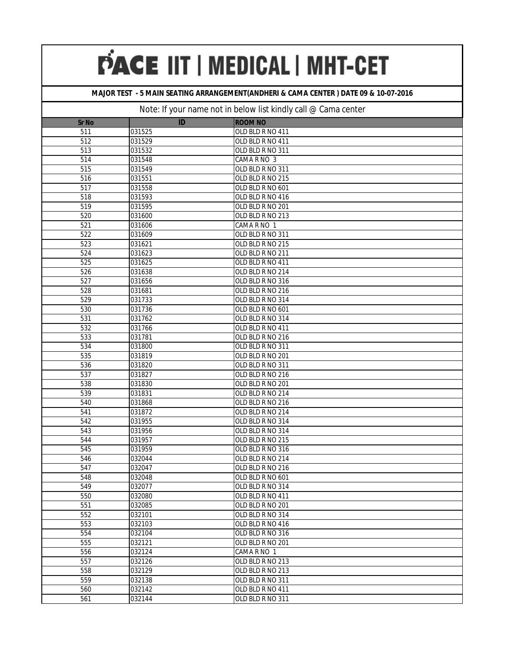#### **MAJOR TEST - 5 MAIN SEATING ARRANGEMENT(ANDHERI & CAMA CENTER ) DATE 09 & 10-07-2016**

| <b>Sr No</b>     | ID     | <b>ROOM NO</b>   |
|------------------|--------|------------------|
| 511              | 031525 | OLD BLD R NO 411 |
| 512              | 031529 | OLD BLD R NO 411 |
| 513              | 031532 | OLD BLD R NO 311 |
| 514              | 031548 | CAMA R NO 3      |
| $\overline{515}$ | 031549 | OLD BLD R NO 311 |
| 516              | 031551 | OLD BLD R NO 215 |
| 517              | 031558 | OLD BLD R NO 601 |
| 518              | 031593 | OLD BLD R NO 416 |
| 519              | 031595 | OLD BLD R NO 201 |
| 520              | 031600 | OLD BLD R NO 213 |
| 521              | 031606 | CAMA R NO 1      |
| 522              | 031609 | OLD BLD R NO 311 |
| 523              | 031621 | OLD BLD R NO 215 |
| 524              | 031623 | OLD BLD R NO 211 |
| 525              | 031625 | OLD BLD R NO 411 |
| 526              | 031638 | OLD BLD R NO 214 |
| 527              | 031656 | OLD BLD R NO 316 |
| 528              | 031681 | OLD BLD R NO 216 |
| 529              | 031733 | OLD BLD R NO 314 |
| 530              | 031736 | OLD BLD R NO 601 |
| 531              | 031762 | OLD BLD R NO 314 |
| 532              | 031766 | OLD BLD R NO 411 |
| 533              | 031781 | OLD BLD R NO 216 |
| 534              | 031800 | OLD BLD R NO 311 |
| 535              | 031819 | OLD BLD R NO 201 |
| 536              | 031820 | OLD BLD R NO 311 |
| 537              | 031827 | OLD BLD R NO 216 |
| 538              | 031830 | OLD BLD R NO 201 |
| 539              | 031831 | OLD BLD R NO 214 |
| 540              | 031868 | OLD BLD R NO 216 |
| 541              | 031872 | OLD BLD R NO 214 |
| 542              | 031955 | OLD BLD R NO 314 |
| 543              | 031956 | OLD BLD R NO 314 |
| 544              | 031957 | OLD BLD R NO 215 |
| 545              | 031959 | OLD BLD R NO 316 |
| 546              | 032044 | OLD BLD R NO 214 |
| 547              | 032047 | OLD BLD R NO 216 |
| 548              | 032048 | OLD BLD R NO 601 |
| 549              | 032077 | OLD BLD R NO 314 |
| 550              | 032080 | OLD BLD R NO 411 |
| 551              | 032085 | OLD BLD R NO 201 |
| 552              | 032101 | OLD BLD R NO 314 |
| 553              | 032103 | OLD BLD R NO 416 |
| 554              | 032104 | OLD BLD R NO 316 |
| 555              | 032121 | OLD BLD R NO 201 |
| 556              | 032124 | CAMA R NO 1      |
| 557              | 032126 | OLD BLD R NO 213 |
| 558              | 032129 | OLD BLD R NO 213 |
| 559              | 032138 | OLD BLD R NO 311 |
| 560              | 032142 | OLD BLD R NO 411 |
| 561              | 032144 | OLD BLD R NO 311 |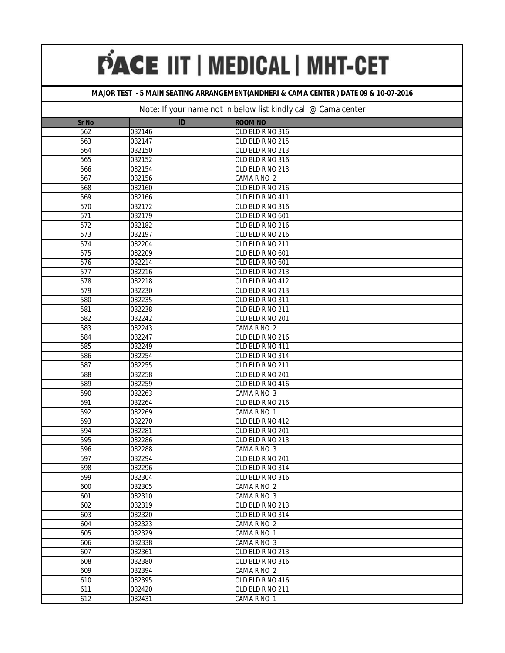#### **MAJOR TEST - 5 MAIN SEATING ARRANGEMENT(ANDHERI & CAMA CENTER ) DATE 09 & 10-07-2016**

| <b>Sr No</b>     | ID               | <b>ROOM NO</b>                  |
|------------------|------------------|---------------------------------|
| 562              | 032146           | OLD BLD R NO 316                |
| 563              | 032147           | OLD BLD R NO 215                |
| 564              | 032150           | OLD BLD R NO 213                |
| 565              | 032152           | OLD BLD R NO 316                |
| 566              | 032154           | OLD BLD R NO 213                |
| 567              | 032156           | CAMA R NO 2                     |
| 568              | 032160           | OLD BLD R NO 216                |
| 569              | 032166           | OLD BLD R NO 411                |
| 570              | 032172           | OLD BLD R NO 316                |
| $\overline{571}$ | 032179           | OLD BLD R NO 601                |
| 572              | 032182           | OLD BLD R NO 216                |
| 573              | 032197           | OLD BLD R NO 216                |
| 574              | 032204           | OLD BLD R NO 211                |
| 575              | 032209           | OLD BLD R NO 601                |
| 576              | 032214           | OLD BLD R NO 601                |
| 577              | 032216           | OLD BLD R NO 213                |
| 578              | 032218           | OLD BLD R NO 412                |
| 579              | 032230           | OLD BLD R NO 213                |
| 580              | 032235           | OLD BLD R NO 311                |
| 581              | 032238           | OLD BLD R NO 211                |
| 582              | 032242           | OLD BLD R NO 201                |
| 583              | 032243           | CAMA R NO 2                     |
| 584              | 032247           | OLD BLD R NO 216                |
| 585              | 032249           | OLD BLD R NO 411                |
| 586              | 032254           | OLD BLD R NO 314                |
| 587              | 032255           | OLD BLD R NO 211                |
| 588              | 032258           | OLD BLD R NO 201                |
| 589              | 032259           | OLD BLD R NO 416                |
| 590              | 032263           | CAMA R NO 3                     |
| 591              | 032264           | OLD BLD R NO 216                |
| 592              | 032269           | CAMA R NO 1                     |
| 593              | 032270           | OLD BLD R NO 412                |
| 594              | 032281           | OLD BLD R NO 201                |
| 595              | 032286           | OLD BLD R NO 213                |
| 596              | 032288           | CAMA R NO 3                     |
| 597              | 032294           | OLD BLD R NO 201                |
| 598              | 032296           | OLD BLD R NO 314                |
| 599              | 032304           | OLD BLD R NO 316                |
| 600              | 032305           | CAMA R NO 2                     |
| 601              | 032310           | CAMA R NO 3                     |
| 602              | 032319           | OLD BLD R NO 213                |
| 603              | 032320           | OLD BLD R NO 314                |
| 604              | 032323           | CAMA R NO 2                     |
| 605              | 032329           | CAMA R NO 1                     |
| 606              | 032338           | CAMA R NO 3                     |
| 607              | 032361           | OLD BLD R NO 213                |
| 608<br>609       | 032380<br>032394 | OLD BLD R NO 316<br>CAMA R NO 2 |
| 610              | 032395           | OLD BLD R NO 416                |
| 611              | 032420           | OLD BLD R NO 211                |
| 612              |                  |                                 |
|                  | 032431           | CAMA R NO 1                     |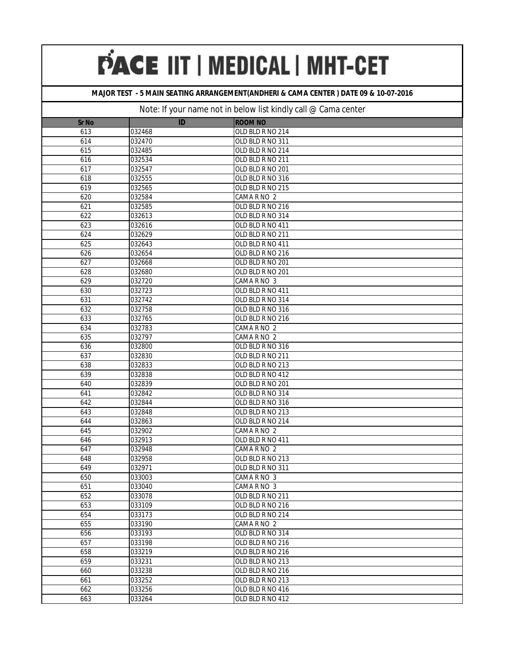#### **MAJOR TEST - 5 MAIN SEATING ARRANGEMENT(ANDHERI & CAMA CENTER ) DATE 09 & 10-07-2016**

| <b>Sr No</b> | ID     | <b>ROOM NO</b>   |
|--------------|--------|------------------|
| 613          | 032468 | OLD BLD R NO 214 |
| 614          | 032470 | OLD BLD R NO 311 |
| 615          | 032485 | OLD BLD R NO 214 |
| 616          | 032534 | OLD BLD R NO 211 |
| 617          | 032547 | OLD BLD R NO 201 |
| 618          | 032555 | OLD BLD R NO 316 |
| 619          | 032565 | OLD BLD R NO 215 |
| 620          | 032584 | CAMA R NO 2      |
| 621          | 032585 | OLD BLD R NO 216 |
| 622          | 032613 | OLD BLD R NO 314 |
| 623          | 032616 | OLD BLD R NO 411 |
| 624          | 032629 | OLD BLD R NO 211 |
| 625          | 032643 | OLD BLD R NO 411 |
| 626          | 032654 | OLD BLD R NO 216 |
| 627          | 032668 | OLD BLD R NO 201 |
| 628          | 032680 | OLD BLD R NO 201 |
| 629          | 032720 | CAMA R NO 3      |
| 630          | 032723 | OLD BLD R NO 411 |
| 631          | 032742 | OLD BLD R NO 314 |
| 632          | 032758 | OLD BLD R NO 316 |
| 633          | 032765 | OLD BLD R NO 216 |
| 634          | 032783 | CAMA R NO 2      |
| 635          | 032797 | CAMA R NO 2      |
| 636          | 032800 | OLD BLD R NO 316 |
| 637          | 032830 | OLD BLD R NO 211 |
| 638          | 032833 | OLD BLD R NO 213 |
| 639          | 032838 | OLD BLD R NO 412 |
| 640          | 032839 | OLD BLD R NO 201 |
| 641          | 032842 | OLD BLD R NO 314 |
| 642          | 032844 | OLD BLD R NO 316 |
| 643          | 032848 | OLD BLD R NO 213 |
| 644          | 032863 | OLD BLD R NO 214 |
| 645          | 032902 | CAMA R NO 2      |
| 646          | 032913 | OLD BLD R NO 411 |
| 647          | 032948 | CAMA R NO 2      |
| 648          | 032958 | OLD BLD R NO 213 |
| 649          | 032971 | OLD BLD R NO 311 |
| 650          | 033003 | CAMA R NO 3      |
| 651          | 033040 | CAMA R NO 3      |
| 652          | 033078 | OLD BLD R NO 211 |
| 653          | 033109 | OLD BLD R NO 216 |
| 654          | 033173 | OLD BLD R NO 214 |
| 655          | 033190 | CAMA R NO 2      |
| 656          | 033193 | OLD BLD R NO 314 |
| 657          | 033198 | OLD BLD R NO 216 |
| 658          | 033219 | OLD BLD R NO 216 |
| 659          | 033231 | OLD BLD R NO 213 |
| 660          | 033238 | OLD BLD R NO 216 |
| 661          | 033252 | OLD BLD R NO 213 |
| 662          | 033256 | OLD BLD R NO 416 |
| 663          | 033264 | OLD BLD R NO 412 |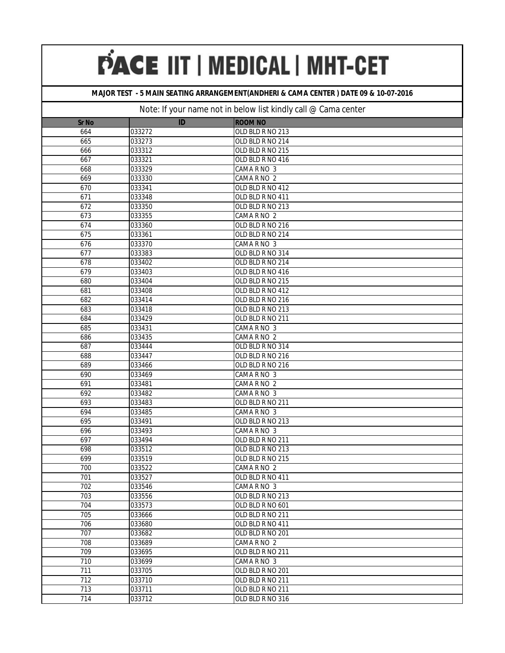#### **MAJOR TEST - 5 MAIN SEATING ARRANGEMENT(ANDHERI & CAMA CENTER ) DATE 09 & 10-07-2016**

| <b>Sr No</b>     | ID     | <b>ROOM NO</b>   |
|------------------|--------|------------------|
| 664              | 033272 | OLD BLD R NO 213 |
| 665              | 033273 | OLD BLD R NO 214 |
| 666              | 033312 | OLD BLD R NO 215 |
| 667              | 033321 | OLD BLD R NO 416 |
| 668              | 033329 | CAMA R NO 3      |
| 669              | 033330 | CAMA R NO 2      |
| 670              | 033341 | OLD BLD R NO 412 |
| 671              | 033348 | OLD BLD R NO 411 |
| 672              | 033350 | OLD BLD R NO 213 |
| 673              | 033355 | CAMA R NO 2      |
| 674              | 033360 | OLD BLD R NO 216 |
| 675              | 033361 | OLD BLD R NO 214 |
| 676              | 033370 | CAMA R NO 3      |
| 677              | 033383 | OLD BLD R NO 314 |
| 678              | 033402 | OLD BLD R NO 214 |
| 679              | 033403 | OLD BLD R NO 416 |
| 680              | 033404 | OLD BLD R NO 215 |
| 681              | 033408 | OLD BLD R NO 412 |
| 682              | 033414 | OLD BLD R NO 216 |
| 683              | 033418 | OLD BLD R NO 213 |
| 684              | 033429 | OLD BLD R NO 211 |
| 685              | 033431 | CAMA R NO 3      |
| 686              | 033435 | CAMA R NO 2      |
| 687              | 033444 | OLD BLD R NO 314 |
| 688              | 033447 | OLD BLD R NO 216 |
| 689              | 033466 | OLD BLD R NO 216 |
| 690              | 033469 | CAMA R NO 3      |
| 691              | 033481 | CAMA R NO 2      |
| 692              | 033482 | CAMA R NO 3      |
| 693              | 033483 | OLD BLD R NO 211 |
| 694              | 033485 | CAMA R NO 3      |
| 695              | 033491 | OLD BLD R NO 213 |
| 696              | 033493 | CAMA R NO 3      |
| 697              | 033494 | OLD BLD R NO 211 |
| 698              | 033512 | OLD BLD R NO 213 |
| 699              | 033519 | OLD BLD R NO 215 |
| 700              | 033522 | CAMA R NO 2      |
| 701              | 033527 | OLD BLD R NO 411 |
| 702              | 033546 | CAMA R NO 3      |
| $\overline{703}$ | 033556 | OLD BLD R NO 213 |
| 704              | 033573 | OLD BLD R NO 601 |
| 705              | 033666 | OLD BLD R NO 211 |
| 706              | 033680 | OLD BLD R NO 411 |
| 707              | 033682 | OLD BLD R NO 201 |
| 708              | 033689 | CAMA R NO 2      |
| 709              | 033695 | OLD BLD R NO 211 |
| 710              | 033699 | CAMA R NO 3      |
| 711              | 033705 | OLD BLD R NO 201 |
| $\overline{712}$ | 033710 | OLD BLD R NO 211 |
| $\overline{713}$ | 033711 | OLD BLD R NO 211 |
| 714              | 033712 | OLD BLD R NO 316 |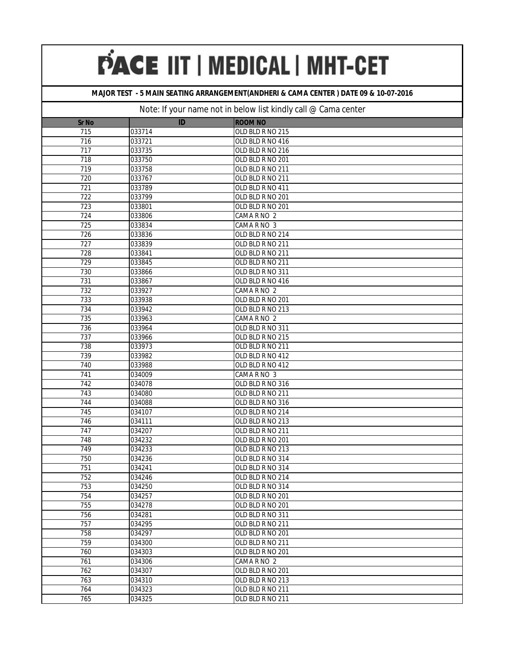#### **MAJOR TEST - 5 MAIN SEATING ARRANGEMENT(ANDHERI & CAMA CENTER ) DATE 09 & 10-07-2016**

| <b>Sr No</b>     | ID     | <b>ROOM NO</b>   |
|------------------|--------|------------------|
| 715              | 033714 | OLD BLD R NO 215 |
| 716              | 033721 | OLD BLD R NO 416 |
| 717              | 033735 | OLD BLD R NO 216 |
| 718              | 033750 | OLD BLD R NO 201 |
| 719              | 033758 | OLD BLD R NO 211 |
| 720              | 033767 | OLD BLD R NO 211 |
| 721              | 033789 | OLD BLD R NO 411 |
| 722              | 033799 | OLD BLD R NO 201 |
| 723              | 033801 | OLD BLD R NO 201 |
| 724              | 033806 | CAMA R NO 2      |
| 725              | 033834 | CAMA R NO 3      |
| 726              | 033836 | OLD BLD R NO 214 |
| 727              | 033839 | OLD BLD R NO 211 |
| 728              | 033841 | OLD BLD R NO 211 |
| $\overline{729}$ | 033845 | OLD BLD R NO 211 |
| 730              | 033866 | OLD BLD R NO 311 |
| 731              | 033867 | OLD BLD R NO 416 |
| 732              | 033927 | CAMA R NO 2      |
| 733              | 033938 | OLD BLD R NO 201 |
| 734              | 033942 | OLD BLD R NO 213 |
| 735              | 033963 | CAMA R NO 2      |
| 736              | 033964 | OLD BLD R NO 311 |
| 737              | 033966 | OLD BLD R NO 215 |
| 738              | 033973 | OLD BLD R NO 211 |
| 739              | 033982 | OLD BLD R NO 412 |
| 740              | 033988 | OLD BLD R NO 412 |
| 741              | 034009 | CAMA R NO 3      |
| 742              | 034078 | OLD BLD R NO 316 |
| 743              | 034080 | OLD BLD R NO 211 |
| 744              | 034088 | OLD BLD R NO 316 |
| 745              | 034107 | OLD BLD R NO 214 |
| 746              | 034111 | OLD BLD R NO 213 |
| 747              | 034207 | OLD BLD R NO 211 |
| 748              | 034232 | OLD BLD R NO 201 |
| 749              | 034233 | OLD BLD R NO 213 |
| 750              | 034236 | OLD BLD R NO 314 |
| 751              | 034241 | OLD BLD R NO 314 |
| 752              | 034246 | OLD BLD R NO 214 |
| 753              | 034250 | OLD BLD R NO 314 |
| 754              | 034257 | OLD BLD R NO 201 |
| 755              | 034278 | OLD BLD R NO 201 |
| 756              | 034281 | OLD BLD R NO 311 |
| 757              | 034295 | OLD BLD R NO 211 |
| 758              | 034297 | OLD BLD R NO 201 |
| 759              | 034300 | OLD BLD R NO 211 |
| 760              | 034303 | OLD BLD R NO 201 |
| 761              | 034306 | CAMA R NO 2      |
| 762              | 034307 | OLD BLD R NO 201 |
| 763              | 034310 | OLD BLD R NO 213 |
| 764              | 034323 | OLD BLD R NO 211 |
| 765              | 034325 | OLD BLD R NO 211 |